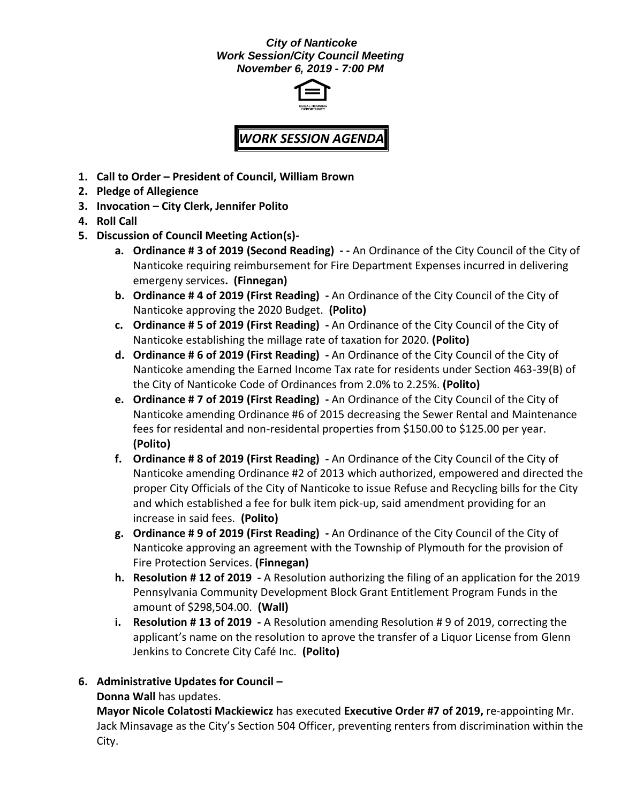#### *City of Nanticoke Work Session/City Council Meeting November 6, 2019 - 7:00 PM*



# *WORK SESSION AGENDA*

- **1. Call to Order – President of Council, William Brown**
- **2. Pledge of Allegience**
- **3. Invocation – City Clerk, Jennifer Polito**
- **4. Roll Call**
- **5. Discussion of Council Meeting Action(s)**
	- **a. Ordinance # 3 of 2019 (Second Reading) - -** An Ordinance of the City Council of the City of Nanticoke requiring reimbursement for Fire Department Expenses incurred in delivering emergeny services**. (Finnegan)**
	- **b. Ordinance # 4 of 2019 (First Reading) -** An Ordinance of the City Council of the City of Nanticoke approving the 2020 Budget. **(Polito)**
	- **c. Ordinance # 5 of 2019 (First Reading) -** An Ordinance of the City Council of the City of Nanticoke establishing the millage rate of taxation for 2020. **(Polito)**
	- **d. Ordinance # 6 of 2019 (First Reading) -** An Ordinance of the City Council of the City of Nanticoke amending the Earned Income Tax rate for residents under Section 463-39(B) of the City of Nanticoke Code of Ordinances from 2.0% to 2.25%. **(Polito)**
	- **e. Ordinance # 7 of 2019 (First Reading) -** An Ordinance of the City Council of the City of Nanticoke amending Ordinance #6 of 2015 decreasing the Sewer Rental and Maintenance fees for residental and non-residental properties from \$150.00 to \$125.00 per year. **(Polito)**
	- **f. Ordinance # 8 of 2019 (First Reading) -** An Ordinance of the City Council of the City of Nanticoke amending Ordinance #2 of 2013 which authorized, empowered and directed the proper City Officials of the City of Nanticoke to issue Refuse and Recycling bills for the City and which established a fee for bulk item pick-up, said amendment providing for an increase in said fees. **(Polito)**
	- **g. Ordinance # 9 of 2019 (First Reading) -** An Ordinance of the City Council of the City of Nanticoke approving an agreement with the Township of Plymouth for the provision of Fire Protection Services. **(Finnegan)**
	- **h. Resolution # 12 of 2019 -** A Resolution authorizing the filing of an application for the 2019 Pennsylvania Community Development Block Grant Entitlement Program Funds in the amount of \$298,504.00. **(Wall)**
	- **i. Resolution # 13 of 2019 -** A Resolution amending Resolution # 9 of 2019, correcting the applicant's name on the resolution to aprove the transfer of a Liquor License from Glenn Jenkins to Concrete City Café Inc. **(Polito)**

### **6. Administrative Updates for Council –**

**Donna Wall** has updates.

**Mayor Nicole Colatosti Mackiewicz** has executed **Executive Order #7 of 2019,** re-appointing Mr. Jack Minsavage as the City's Section 504 Officer, preventing renters from discrimination within the City.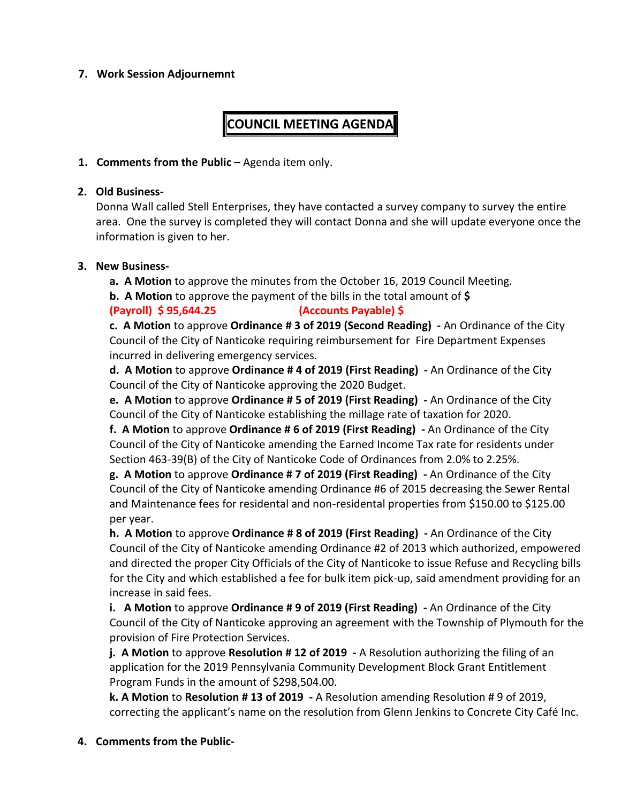#### **7. Work Session Adjournemnt**

## **COUNCIL MEETING AGENDA**

#### **1. Comments from the Public -** Agenda item only.

#### **2. Old Business-**

Donna Wall called Stell Enterprises, they have contacted a survey company to survey the entire area. One the survey is completed they will contact Donna and she will update everyone once the information is given to her.

#### **3. New Business-**

**a. A Motion** to approve the minutes from the October 16, 2019 Council Meeting.

**b. A Motion** to approve the payment of the bills in the total amount of **\$**

#### **(Payroll) \$ 95,644.25 (Accounts Payable) \$**

**c. A Motion** to approve **Ordinance # 3 of 2019 (Second Reading) -** An Ordinance of the City Council of the City of Nanticoke requiring reimbursement for Fire Department Expenses incurred in delivering emergency services.

**d. A Motion** to approve **Ordinance # 4 of 2019 (First Reading) -** An Ordinance of the City Council of the City of Nanticoke approving the 2020 Budget.

**e. A Motion** to approve **Ordinance # 5 of 2019 (First Reading) -** An Ordinance of the City Council of the City of Nanticoke establishing the millage rate of taxation for 2020.

**f. A Motion** to approve **Ordinance # 6 of 2019 (First Reading) -** An Ordinance of the City Council of the City of Nanticoke amending the Earned Income Tax rate for residents under Section 463-39(B) of the City of Nanticoke Code of Ordinances from 2.0% to 2.25%.

**g. A Motion** to approve **Ordinance # 7 of 2019 (First Reading) -** An Ordinance of the City Council of the City of Nanticoke amending Ordinance #6 of 2015 decreasing the Sewer Rental and Maintenance fees for residental and non-residental properties from \$150.00 to \$125.00 per year.

**h. A Motion** to approve **Ordinance # 8 of 2019 (First Reading) -** An Ordinance of the City Council of the City of Nanticoke amending Ordinance #2 of 2013 which authorized, empowered and directed the proper City Officials of the City of Nanticoke to issue Refuse and Recycling bills for the City and which established a fee for bulk item pick-up, said amendment providing for an increase in said fees.

**i. A Motion** to approve **Ordinance # 9 of 2019 (First Reading) -** An Ordinance of the City Council of the City of Nanticoke approving an agreement with the Township of Plymouth for the provision of Fire Protection Services.

**j. A Motion** to approve **Resolution # 12 of 2019 -** A Resolution authorizing the filing of an application for the 2019 Pennsylvania Community Development Block Grant Entitlement Program Funds in the amount of \$298,504.00.

**k. A Motion** to **Resolution # 13 of 2019 -** A Resolution amending Resolution # 9 of 2019, correcting the applicant's name on the resolution from Glenn Jenkins to Concrete City Café Inc.

#### **4. Comments from the Public-**